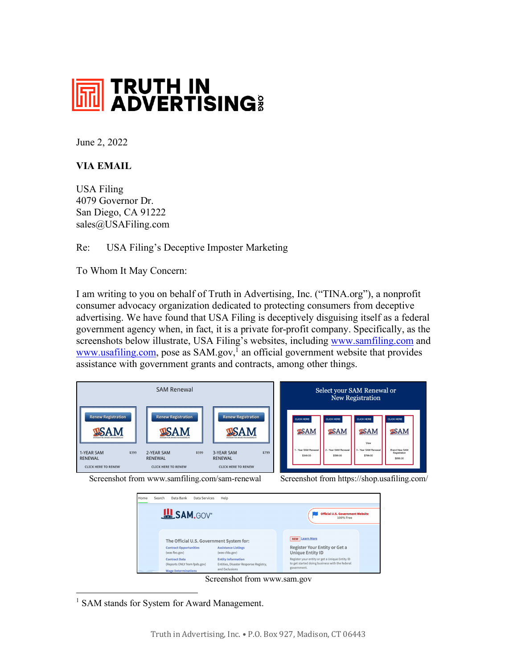

June 2, 2022

## **VIA EMAIL**

USA Filing 4079 Governor Dr. San Diego, CA 91222 sales@USAFiling.com

Re: USA Filing's Deceptive Imposter Marketing

To Whom It May Concern:

I am writing to you on behalf of Truth in Advertising, Inc. ("TINA.org"), a nonprofit consumer advocacy organization dedicated to protecting consumers from deceptive advertising. We have found that USA Filing is deceptively disguising itself as a federal government agency when, in fact, it is a private for-profit company. Specifically, as the screenshots below illustrate, USA Filing's websites, including www.samfiling.com and www.usafiling.com, pose as  $SAM.gov$ <sup> $\bar{l}$ </sup> an official government website that provides assistance with government grants and contracts, among other things.





Screenshot from www.sam.gov

<sup>1</sup> SAM stands for System for Award Management.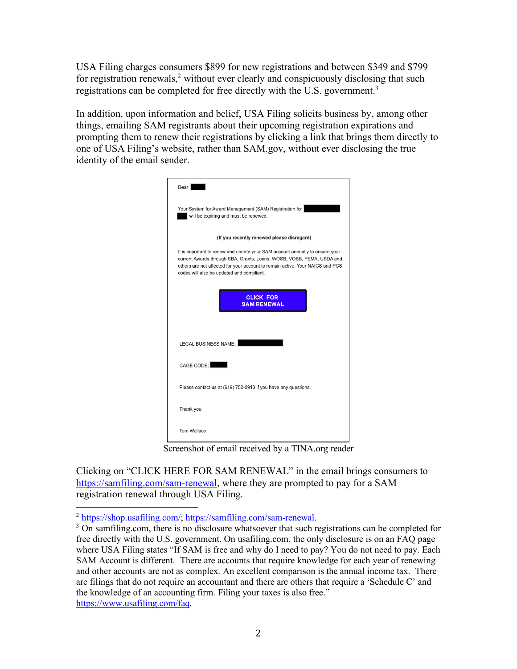USA Filing charges consumers \$899 for new registrations and between \$349 and \$799 for registration renewals,<sup>2</sup> without ever clearly and conspicuously disclosing that such registrations can be completed for free directly with the U.S. government.<sup>3</sup>

In addition, upon information and belief, USA Filing solicits business by, among other things, emailing SAM registrants about their upcoming registration expirations and prompting them to renew their registrations by clicking a link that brings them directly to one of USA Filing's website, rather than SAM.gov, without ever disclosing the true identity of the email sender.

| Dear                                                                                                                                                                                                                                                                                |
|-------------------------------------------------------------------------------------------------------------------------------------------------------------------------------------------------------------------------------------------------------------------------------------|
| Your System for Award Management (SAM) Registration for<br>will be expiring and must be renewed.                                                                                                                                                                                    |
| (If you recently renewed please disregard)                                                                                                                                                                                                                                          |
| It is important to renew and update your SAM account annually to ensure your<br>current Awards through SBA, Grants, Loans, WOSB, VOSB, FEMA, USDA and<br>others are not affected for your account to remain active. Your NAICS and PCS<br>codes will also be updated and compliant. |
| <b>CLICK FOR</b><br><b>SAM RENEWAL</b>                                                                                                                                                                                                                                              |
| <b>LEGAL BUSINESS NAME:</b>                                                                                                                                                                                                                                                         |
| CAGE CODE:                                                                                                                                                                                                                                                                          |
| Please contact us at (619) 752-0913 if you have any questions.                                                                                                                                                                                                                      |
| Thank you,                                                                                                                                                                                                                                                                          |
| Tom Wallace                                                                                                                                                                                                                                                                         |

Screenshot of email received by a TINA.org reader

Clicking on "CLICK HERE FOR SAM RENEWAL" in the email brings consumers to https://samfiling.com/sam-renewal, where they are prompted to pay for a SAM registration renewal through USA Filing.

 $\frac{2 \text{ https://shop.usafiling.com/}}{3 \text{ On samfilling.com}}$ ; https://samfiling.com/sam-renewal. free directly with the U.S. government. On usafiling.com, the only disclosure is on an FAQ page where USA Filing states "If SAM is free and why do I need to pay? You do not need to pay. Each SAM Account is different. There are accounts that require knowledge for each year of renewing and other accounts are not as complex. An excellent comparison is the annual income tax. There are filings that do not require an accountant and there are others that require a 'Schedule C' and the knowledge of an accounting firm. Filing your taxes is also free." https://www.usafiling.com/faq.